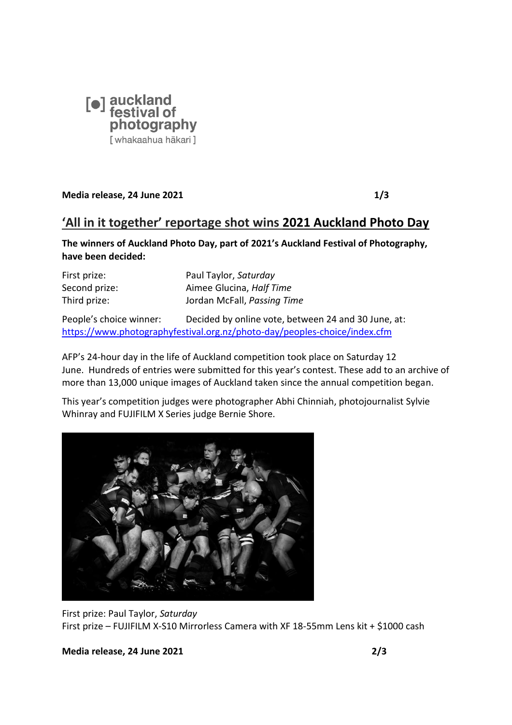

**Media release, 24 June 2021 1/3**

## **'All in it together' reportage shot wins 2021 Auckland Photo Day**

**The winners of Auckland Photo Day, part of 2021's Auckland Festival of Photography, have been decided:**

| First prize:  | Paul Taylor, Saturday       |
|---------------|-----------------------------|
| Second prize: | Aimee Glucina, Half Time    |
| Third prize:  | Jordan McFall, Passing Time |

People's choice winner: Decided by online vote, between 24 and 30 June, at: <https://www.photographyfestival.org.nz/photo-day/peoples-choice/index.cfm>

AFP's 24-hour day in the life of Auckland competition took place on Saturday 12 June. Hundreds of entries were submitted for this year's contest. These add to an archive of more than 13,000 unique images of Auckland taken since the annual competition began.

This year's competition judges were photographer Abhi Chinniah, photojournalist Sylvie Whinray and FUJIFILM X Series judge Bernie Shore.



First prize: Paul Taylor, *Saturday*  First prize – FUJIFILM X-S10 Mirrorless Camera with XF 18-55mm Lens kit + \$1000 cash

**Media release, 24 June 2021 2/3**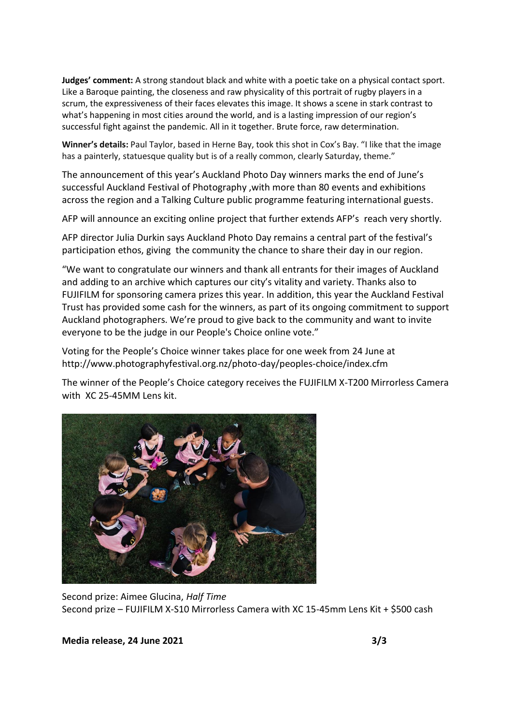**Judges' comment:** A strong standout black and white with a poetic take on a physical contact sport. Like a Baroque painting, the closeness and raw physicality of this portrait of rugby players in a scrum, the expressiveness of their faces elevates this image. It shows a scene in stark contrast to what's happening in most cities around the world, and is a lasting impression of our region's successful fight against the pandemic. All in it together. Brute force, raw determination.

**Winner's details:** Paul Taylor, based in Herne Bay, took this shot in Cox's Bay. "I like that the image has a painterly, statuesque quality but is of a really common, clearly Saturday, theme."

The announcement of this year's Auckland Photo Day winners marks the end of June's successful Auckland Festival of Photography ,with more than 80 events and exhibitions across the region and a Talking Culture public programme featuring international guests.

AFP will announce an exciting online project that further extends AFP's reach very shortly.

AFP director Julia Durkin says Auckland Photo Day remains a central part of the festival's participation ethos, giving the community the chance to share their day in our region.

"We want to congratulate our winners and thank all entrants for their images of Auckland and adding to an archive which captures our city's vitality and variety. Thanks also to FUJIFILM for sponsoring camera prizes this year. In addition, this year the Auckland Festival Trust has provided some cash for the winners, as part of its ongoing commitment to support Auckland photographers. We're proud to give back to the community and want to invite everyone to be the judge in our People's Choice online vote."

Voting for the People's Choice winner takes place for one week from 24 June at http://www.photographyfestival.org.nz/photo-day/peoples-choice/index.cfm

The winner of the People's Choice category receives the FUJIFILM X-T200 Mirrorless Camera with XC 25-45MM Lens kit.



Second prize: Aimee Glucina, *Half Time* Second prize – FUJIFILM X-S10 Mirrorless Camera with XC 15-45mm Lens Kit + \$500 cash

**Media release, 24 June 2021 3/3**